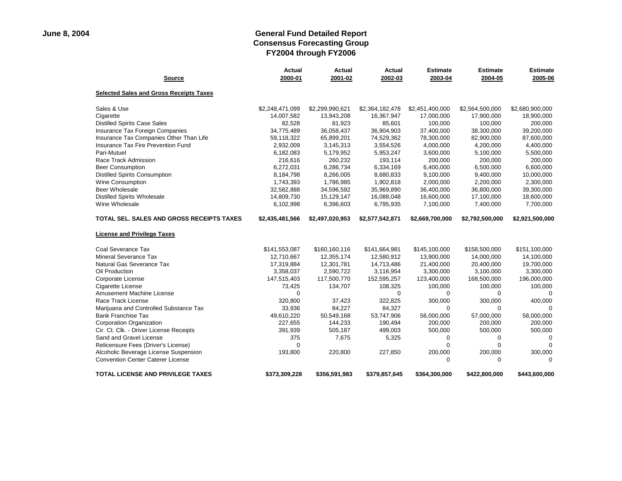| <b>Source</b>                                    | <b>Actual</b><br>2000-01 | <b>Actual</b><br>2001-02 | Actual<br>2002-03 | <b>Estimate</b><br>2003-04 | <b>Estimate</b><br>2004-05 | <b>Estimate</b><br>2005-06 |
|--------------------------------------------------|--------------------------|--------------------------|-------------------|----------------------------|----------------------------|----------------------------|
| <b>Selected Sales and Gross Receipts Taxes</b>   |                          |                          |                   |                            |                            |                            |
| Sales & Use                                      | \$2,248,471,099          | \$2,299,990,621          | \$2,364,182,478   | \$2,451,400,000            | \$2,564,500,000            | \$2,680,900,000            |
| Cigarette                                        | 14,007,582               | 13,943,208               | 16,367,947        | 17,000,000                 | 17,900,000                 | 18,900,000                 |
| <b>Distilled Spirits Case Sales</b>              | 82,528                   | 81,923                   | 85,601            | 100,000                    | 100,000                    | 200,000                    |
| Insurance Tax Foreign Companies                  | 34,775,489               | 36,058,437               | 36,904,903        | 37,400,000                 | 38,300,000                 | 39,200,000                 |
| Insurance Tax Companies Other Than Life          | 59,118,322               | 65,899,201               | 74,529,362        | 78,300,000                 | 82,900,000                 | 87,600,000                 |
| Insurance Tax Fire Prevention Fund               | 2,932,009                | 3,145,313                | 3,554,526         | 4,000,000                  | 4,200,000                  | 4,400,000                  |
| Pari-Mutuel                                      | 6,182,083                | 5,179,952                | 5,953,247         | 3,600,000                  | 5,100,000                  | 5,500,000                  |
| Race Track Admission                             | 216,616                  | 260,232                  | 193,114           | 200,000                    | 200,000                    | 200,000                    |
| <b>Beer Consumption</b>                          | 6,272,031                | 6,286,734                | 6,334,169         | 6,400,000                  | 6,500,000                  | 6,600,000                  |
| <b>Distilled Spirits Consumption</b>             | 8,184,798                | 8,266,005                | 8,680,833         | 9,100,000                  | 9,400,000                  | 10,000,000                 |
| Wine Consumption                                 | 1,743,393                | 1,786,985                | 1,902,818         | 2,000,000                  | 2,200,000                  | 2,300,000                  |
| Beer Wholesale                                   | 32,582,888               | 34,596,592               | 35,969,890        | 36,400,000                 | 36,800,000                 | 39,300,000                 |
| <b>Distilled Spirits Wholesale</b>               | 14,809,730               | 15,129,147               | 16,088,048        | 16,600,000                 | 17,100,000                 | 18,600,000                 |
| Wine Wholesale                                   | 6,102,998                | 6,396,603                | 6,795,935         | 7,100,000                  | 7,400,000                  | 7,700,000                  |
| <b>TOTAL SEL. SALES AND GROSS RECEIPTS TAXES</b> | \$2,435,481,566          | \$2,497,020,953          | \$2,577,542,871   | \$2,669,700,000            | \$2,792,500,000            | \$2,921,500,000            |
| <b>License and Privilege Taxes</b>               |                          |                          |                   |                            |                            |                            |
| Coal Severance Tax                               | \$141,553,087            | \$160,160,116            | \$141,664,981     | \$145,100,000              | \$158,500,000              | \$151,100,000              |
| Mineral Severance Tax                            | 12,710,667               | 12,355,174               | 12,580,912        | 13,900,000                 | 14,000,000                 | 14,100,000                 |
| Natural Gas Severance Tax                        | 17,319,884               | 12,301,781               | 14,713,486        | 21,400,000                 | 20,400,000                 | 19,700,000                 |
| Oil Production                                   | 3,358,037                | 2,590,722                | 3,116,954         | 3,300,000                  | 3,100,000                  | 3,300,000                  |
| Corporate License                                | 147,515,403              | 117,500,770              | 152,595,257       | 123,400,000                | 168,500,000                | 196,000,000                |
| Cigarette License                                | 73,425                   | 134,707                  | 108,325           | 100,000                    | 100,000                    | 100,000                    |
| Amusement Machine License                        | 0                        |                          | $\Omega$          | $\mathbf 0$                | 0                          | $\Omega$                   |
| Race Track License                               | 320,800                  | 37,423                   | 322,825           | 300,000                    | 300,000                    | 400,000                    |
| Marijuana and Controlled Substance Tax           | 33,936                   | 84,227                   | 84,327            | $\mathbf 0$                | $\mathbf 0$                | $\Omega$                   |
| <b>Bank Franchise Tax</b>                        | 49,610,220               | 50,549,168               | 53,747,906        | 56,000,000                 | 57,000,000                 | 58,000,000                 |
| Corporation Organization                         | 227,655                  | 144,233                  | 190,494           | 200.000                    | 200,000                    | 200,000                    |
| Cir. Ct. Clk. - Driver License Receipts          | 391,939                  | 505,187                  | 499,003           | 500,000                    | 500,000                    | 500,000                    |
| Sand and Gravel License                          | 375                      | 7,675                    | 5,325             | $\mathbf 0$                | 0                          | $\Omega$                   |
| Relicensure Fees (Driver's License)              | $\mathbf 0$              |                          |                   | $\Omega$                   | $\Omega$                   | $\Omega$                   |
| Alcoholic Beverage License Suspension            | 193,800                  | 220,800                  | 227,850           | 200,000                    | 200,000                    | 300,000                    |
| <b>Convention Center Caterer License</b>         |                          |                          |                   | $\Omega$                   | $\Omega$                   | $\Omega$                   |
| <b>TOTAL LICENSE AND PRIVILEGE TAXES</b>         | \$373,309,228            | \$356,591,983            | \$379,857,645     | \$364,300,000              | \$422,800,000              | \$443,600,000              |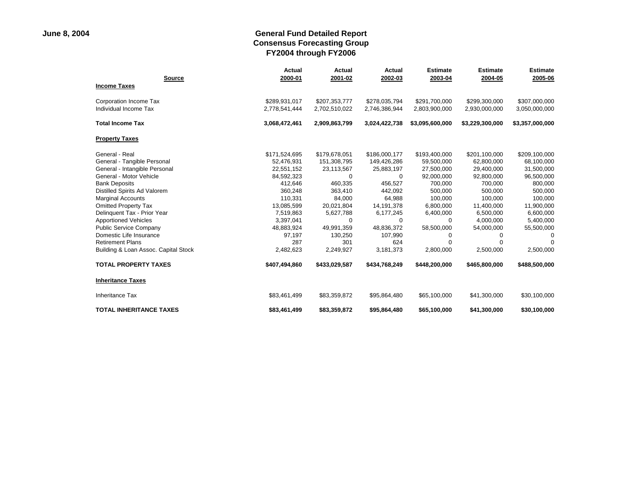|                                      | <b>Actual</b> | Actual        | Actual        | <b>Estimate</b> | <b>Estimate</b> | <b>Estimate</b> |
|--------------------------------------|---------------|---------------|---------------|-----------------|-----------------|-----------------|
| <b>Source</b><br><b>Income Taxes</b> | 2000-01       | 2001-02       | 2002-03       | 2003-04         | 2004-05         | 2005-06         |
| Corporation Income Tax               | \$289,931,017 | \$207,353,777 | \$278,035,794 | \$291,700,000   | \$299,300,000   | \$307,000,000   |
| Individual Income Tax                | 2,778,541,444 | 2,702,510,022 | 2,746,386,944 | 2,803,900,000   | 2,930,000,000   | 3,050,000,000   |
| <b>Total Income Tax</b>              | 3,068,472,461 | 2,909,863,799 | 3,024,422,738 | \$3,095,600,000 | \$3,229,300,000 | \$3,357,000,000 |
| <b>Property Taxes</b>                |               |               |               |                 |                 |                 |
| General - Real                       | \$171,524,695 | \$179,678,051 | \$186,000,177 | \$193,400,000   | \$201,100,000   | \$209,100,000   |
| General - Tangible Personal          | 52,476,931    | 151,308,795   | 149,426,286   | 59,500,000      | 62,800,000      | 68,100,000      |
| General - Intangible Personal        | 22,551,152    | 23,113,567    | 25,883,197    | 27,500,000      | 29,400,000      | 31,500,000      |
| General - Motor Vehicle              | 84,592,323    | $\Omega$      | $\Omega$      | 92,000,000      | 92,800,000      | 96,500,000      |
| <b>Bank Deposits</b>                 | 412,646       | 460,335       | 456.527       | 700,000         | 700,000         | 800,000         |
| Distilled Spirits Ad Valorem         | 360,248       | 363,410       | 442,092       | 500,000         | 500,000         | 500,000         |
| <b>Marginal Accounts</b>             | 110,331       | 84.000        | 64.988        | 100,000         | 100,000         | 100,000         |
| <b>Omitted Property Tax</b>          | 13,085,599    | 20,021,804    | 14,191,378    | 6,800,000       | 11,400,000      | 11,900,000      |
| Delinquent Tax - Prior Year          | 7,519,863     | 5,627,788     | 6,177,245     | 6,400,000       | 6,500,000       | 6,600,000       |
| <b>Apportioned Vehicles</b>          | 3,397,041     | 0             | $\Omega$      | $\Omega$        | 4,000,000       | 5,400,000       |
| <b>Public Service Company</b>        | 48,883,924    | 49,991,359    | 48,836,372    | 58,500,000      | 54,000,000      | 55,500,000      |
| Domestic Life Insurance              | 97,197        | 130,250       | 107,990       | $\Omega$        | 0               | $\Omega$        |
| <b>Retirement Plans</b>              | 287           | 301           | 624           | $\Omega$        | $\Omega$        | $\Omega$        |
| Building & Loan Assoc. Capital Stock | 2,482,623     | 2,249,927     | 3,181,373     | 2,800,000       | 2,500,000       | 2,500,000       |
| <b>TOTAL PROPERTY TAXES</b>          | \$407,494,860 | \$433,029,587 | \$434,768,249 | \$448,200,000   | \$465,800,000   | \$488,500,000   |
| <b>Inheritance Taxes</b>             |               |               |               |                 |                 |                 |
| <b>Inheritance Tax</b>               | \$83,461,499  | \$83,359,872  | \$95,864,480  | \$65,100,000    | \$41,300,000    | \$30,100,000    |
| <b>TOTAL INHERITANCE TAXES</b>       | \$83,461,499  | \$83,359,872  | \$95,864,480  | \$65,100,000    | \$41,300,000    | \$30,100,000    |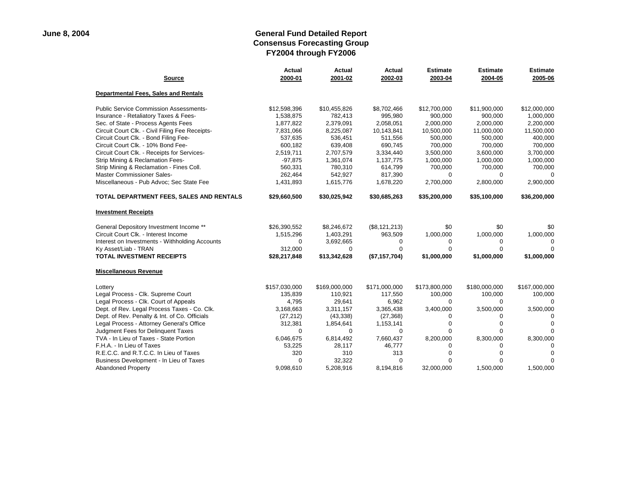| <b>Source</b>                                   | <b>Actual</b><br>2000-01 | Actual<br>2001-02 | Actual<br>2002-03 | <b>Estimate</b><br>2003-04 | <b>Estimate</b><br>2004-05 | <b>Estimate</b><br>2005-06 |
|-------------------------------------------------|--------------------------|-------------------|-------------------|----------------------------|----------------------------|----------------------------|
| <b>Departmental Fees, Sales and Rentals</b>     |                          |                   |                   |                            |                            |                            |
| <b>Public Service Commission Assessments-</b>   | \$12,598,396             | \$10,455,826      | \$8,702,466       | \$12,700,000               | \$11,900,000               | \$12,000,000               |
| Insurance - Retaliatory Taxes & Fees-           | 1,538,875                | 782,413           | 995,980           | 900,000                    | 900,000                    | 1,000,000                  |
| Sec. of State - Process Agents Fees             | 1,877,822                | 2,379,091         | 2,058,051         | 2,000,000                  | 2,000,000                  | 2,200,000                  |
| Circuit Court Clk. - Civil Filing Fee Receipts- | 7,831,066                | 8,225,087         | 10,143,841        | 10,500,000                 | 11,000,000                 | 11,500,000                 |
| Circuit Court Clk. - Bond Filing Fee-           | 537,635                  | 536,451           | 511,556           | 500,000                    | 500,000                    | 400,000                    |
| Circuit Court Clk. - 10% Bond Fee-              | 600,182                  | 639,408           | 690,745           | 700,000                    | 700,000                    | 700,000                    |
| Circuit Court Clk. - Receipts for Services-     | 2,519,711                | 2,707,579         | 3,334,440         | 3,500,000                  | 3,600,000                  | 3,700,000                  |
| Strip Mining & Reclamation Fees-                | $-97,875$                | 1,361,074         | 1,137,775         | 1,000,000                  | 1,000,000                  | 1,000,000                  |
| Strip Mining & Reclamation - Fines Coll.        | 560,331                  | 780,310           | 614,799           | 700,000                    | 700,000                    | 700,000                    |
| Master Commissioner Sales-                      | 262,464                  | 542,927           | 817,390           | $\Omega$                   | $\Omega$                   | $\Omega$                   |
| Miscellaneous - Pub Advoc; Sec State Fee        | 1,431,893                | 1,615,776         | 1,678,220         | 2,700,000                  | 2,800,000                  | 2,900,000                  |
| TOTAL DEPARTMENT FEES, SALES AND RENTALS        | \$29,660,500             | \$30,025,942      | \$30,685,263      | \$35,200,000               | \$35,100,000               | \$36,200,000               |
| <b>Investment Receipts</b>                      |                          |                   |                   |                            |                            |                            |
| General Depository Investment Income **         | \$26,390,552             | \$8,246,672       | (\$8, 121, 213)   | \$0                        | \$0                        | \$0                        |
| Circuit Court Clk. - Interest Income            | 1,515,296                | 1,403,291         | 963,509           | 1,000,000                  | 1,000,000                  | 1,000,000                  |
| Interest on Investments - Withholding Accounts  | 0                        | 3,692,665         | 0                 | 0                          | 0                          | $\Omega$                   |
| Ky Asset/Liab - TRAN                            | 312,000                  | $\Omega$          | $\Omega$          | $\Omega$                   | $\Omega$                   | $\Omega$                   |
| <b>TOTAL INVESTMENT RECEIPTS</b>                | \$28,217,848             | \$13,342,628      | (\$7,157,704)     | \$1,000,000                | \$1,000,000                | \$1,000,000                |
| <b>Miscellaneous Revenue</b>                    |                          |                   |                   |                            |                            |                            |
| Lottery                                         | \$157,030,000            | \$169,000,000     | \$171,000,000     | \$173,800,000              | \$180,000,000              | \$167,000,000              |
| Legal Process - Clk. Supreme Court              | 135,839                  | 110,921           | 117,550           | 100,000                    | 100,000                    | 100,000                    |
| Legal Process - Clk. Court of Appeals           | 4,795                    | 29,641            | 6,962             | $\Omega$                   | $\Omega$                   | $\Omega$                   |
| Dept. of Rev. Legal Process Taxes - Co. Clk.    | 3,168,663                | 3,311,157         | 3,365,438         | 3,400,000                  | 3,500,000                  | 3,500,000                  |
| Dept. of Rev. Penalty & Int. of Co. Officials   | (27, 212)                | (43, 338)         | (27, 368)         | $\Omega$                   | $\Omega$                   | $\Omega$                   |
| Legal Process - Attorney General's Office       | 312,381                  | 1,854,641         | 1,153,141         | $\Omega$                   | $\Omega$                   | $\Omega$                   |
| Judgment Fees for Delinquent Taxes              | 0                        | 0                 | 0                 | $\Omega$                   | $\Omega$                   | $\Omega$                   |
| TVA - In Lieu of Taxes - State Portion          | 6,046,675                | 6,814,492         | 7,660,437         | 8,200,000                  | 8,300,000                  | 8,300,000                  |
| F.H.A. - In Lieu of Taxes                       | 53,225                   | 28,117            | 46,777            | $\Omega$                   | 0                          | $\Omega$                   |
| R.E.C.C. and R.T.C.C. In Lieu of Taxes          | 320                      | 310               | 313               |                            |                            | $\Omega$                   |
| Business Development - In Lieu of Taxes         | $\Omega$                 | 32,322            | $\Omega$          | ∩                          |                            | $\Omega$                   |
| <b>Abandoned Property</b>                       | 9,098,610                | 5,208,916         | 8,194,816         | 32,000,000                 | 1,500,000                  | 1,500,000                  |